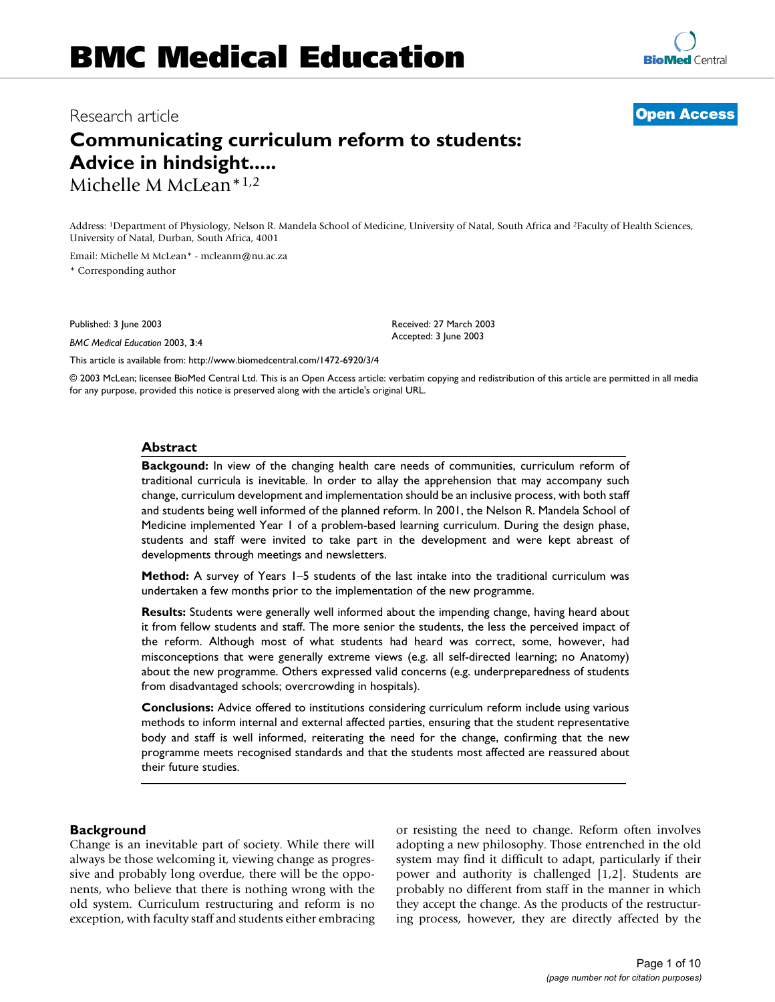# **Communicating curriculum reform to students: Advice in hindsight.....** Michelle M McLean\*1,2

Address: 1Department of Physiology, Nelson R. Mandela School of Medicine, University of Natal, South Africa and 2Faculty of Health Sciences, University of Natal, Durban, South Africa, 4001

Email: Michelle M McLean\* - mcleanm@nu.ac.za \* Corresponding author

Published: 3 June 2003

*BMC Medical Education* 2003, **3**:4

[This article is available from: http://www.biomedcentral.com/1472-6920/3/4](http://www.biomedcentral.com/1472-6920/3/4)

© 2003 McLean; licensee BioMed Central Ltd. This is an Open Access article: verbatim copying and redistribution of this article are permitted in all media for any purpose, provided this notice is preserved along with the article's original URL.

#### **Abstract**

**Backgound:** In view of the changing health care needs of communities, curriculum reform of traditional curricula is inevitable. In order to allay the apprehension that may accompany such change, curriculum development and implementation should be an inclusive process, with both staff and students being well informed of the planned reform. In 2001, the Nelson R. Mandela School of Medicine implemented Year 1 of a problem-based learning curriculum. During the design phase, students and staff were invited to take part in the development and were kept abreast of developments through meetings and newsletters.

**Method:** A survey of Years 1–5 students of the last intake into the traditional curriculum was undertaken a few months prior to the implementation of the new programme.

**Results:** Students were generally well informed about the impending change, having heard about it from fellow students and staff. The more senior the students, the less the perceived impact of the reform. Although most of what students had heard was correct, some, however, had misconceptions that were generally extreme views (e.g. all self-directed learning; no Anatomy) about the new programme. Others expressed valid concerns (e.g. underpreparedness of students from disadvantaged schools; overcrowding in hospitals).

**Conclusions:** Advice offered to institutions considering curriculum reform include using various methods to inform internal and external affected parties, ensuring that the student representative body and staff is well informed, reiterating the need for the change, confirming that the new programme meets recognised standards and that the students most affected are reassured about their future studies.

### **Background**

Change is an inevitable part of society. While there will always be those welcoming it, viewing change as progressive and probably long overdue, there will be the opponents, who believe that there is nothing wrong with the old system. Curriculum restructuring and reform is no exception, with faculty staff and students either embracing or resisting the need to change. Reform often involves adopting a new philosophy. Those entrenched in the old system may find it difficult to adapt, particularly if their power and authority is challenged [1,2]. Students are probably no different from staff in the manner in which they accept the change. As the products of the restructuring process, however, they are directly affected by the





Received: 27 March 2003 Accepted: 3 June 2003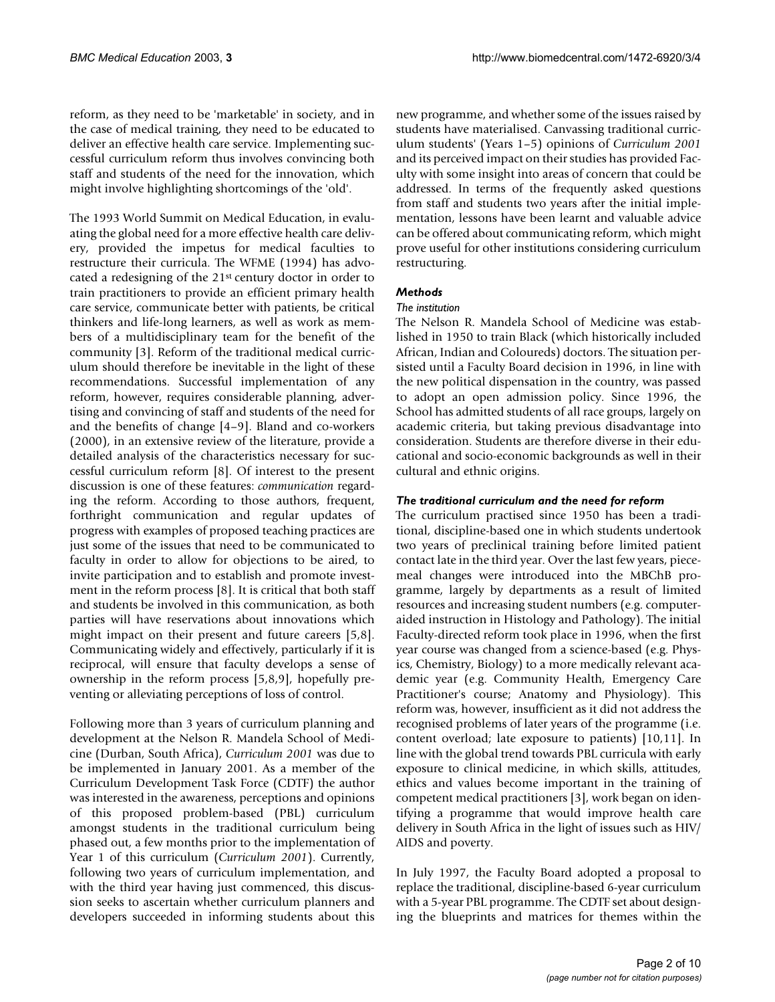reform, as they need to be 'marketable' in society, and in the case of medical training, they need to be educated to deliver an effective health care service. Implementing successful curriculum reform thus involves convincing both staff and students of the need for the innovation, which might involve highlighting shortcomings of the 'old'.

The 1993 World Summit on Medical Education, in evaluating the global need for a more effective health care delivery, provided the impetus for medical faculties to restructure their curricula. The WFME (1994) has advocated a redesigning of the 21st century doctor in order to train practitioners to provide an efficient primary health care service, communicate better with patients, be critical thinkers and life-long learners, as well as work as members of a multidisciplinary team for the benefit of the community [3]. Reform of the traditional medical curriculum should therefore be inevitable in the light of these recommendations. Successful implementation of any reform, however, requires considerable planning, advertising and convincing of staff and students of the need for and the benefits of change [4–9]. Bland and co-workers (2000), in an extensive review of the literature, provide a detailed analysis of the characteristics necessary for successful curriculum reform [8]. Of interest to the present discussion is one of these features: *communication* regarding the reform. According to those authors, frequent, forthright communication and regular updates of progress with examples of proposed teaching practices are just some of the issues that need to be communicated to faculty in order to allow for objections to be aired, to invite participation and to establish and promote investment in the reform process [8]. It is critical that both staff and students be involved in this communication, as both parties will have reservations about innovations which might impact on their present and future careers [5,8]. Communicating widely and effectively, particularly if it is reciprocal, will ensure that faculty develops a sense of ownership in the reform process [5,8,9], hopefully preventing or alleviating perceptions of loss of control.

Following more than 3 years of curriculum planning and development at the Nelson R. Mandela School of Medicine (Durban, South Africa), *Curriculum 2001* was due to be implemented in January 2001. As a member of the Curriculum Development Task Force (CDTF) the author was interested in the awareness, perceptions and opinions of this proposed problem-based (PBL) curriculum amongst students in the traditional curriculum being phased out, a few months prior to the implementation of Year 1 of this curriculum (*Curriculum 2001*). Currently, following two years of curriculum implementation, and with the third year having just commenced, this discussion seeks to ascertain whether curriculum planners and developers succeeded in informing students about this

new programme, and whether some of the issues raised by students have materialised. Canvassing traditional curriculum students' (Years 1–5) opinions of *Curriculum 2001* and its perceived impact on their studies has provided Faculty with some insight into areas of concern that could be addressed. In terms of the frequently asked questions from staff and students two years after the initial implementation, lessons have been learnt and valuable advice can be offered about communicating reform, which might prove useful for other institutions considering curriculum restructuring.

# *Methods*

# *The institution*

The Nelson R. Mandela School of Medicine was established in 1950 to train Black (which historically included African, Indian and Coloureds) doctors. The situation persisted until a Faculty Board decision in 1996, in line with the new political dispensation in the country, was passed to adopt an open admission policy. Since 1996, the School has admitted students of all race groups, largely on academic criteria, but taking previous disadvantage into consideration. Students are therefore diverse in their educational and socio-economic backgrounds as well in their cultural and ethnic origins.

# *The traditional curriculum and the need for reform*

The curriculum practised since 1950 has been a traditional, discipline-based one in which students undertook two years of preclinical training before limited patient contact late in the third year. Over the last few years, piecemeal changes were introduced into the MBChB programme, largely by departments as a result of limited resources and increasing student numbers (e.g. computeraided instruction in Histology and Pathology). The initial Faculty-directed reform took place in 1996, when the first year course was changed from a science-based (e.g. Physics, Chemistry, Biology) to a more medically relevant academic year (e.g. Community Health, Emergency Care Practitioner's course; Anatomy and Physiology). This reform was, however, insufficient as it did not address the recognised problems of later years of the programme (i.e. content overload; late exposure to patients) [10,11]. In line with the global trend towards PBL curricula with early exposure to clinical medicine, in which skills, attitudes, ethics and values become important in the training of competent medical practitioners [3], work began on identifying a programme that would improve health care delivery in South Africa in the light of issues such as HIV/ AIDS and poverty.

In July 1997, the Faculty Board adopted a proposal to replace the traditional, discipline-based 6-year curriculum with a 5-year PBL programme. The CDTF set about designing the blueprints and matrices for themes within the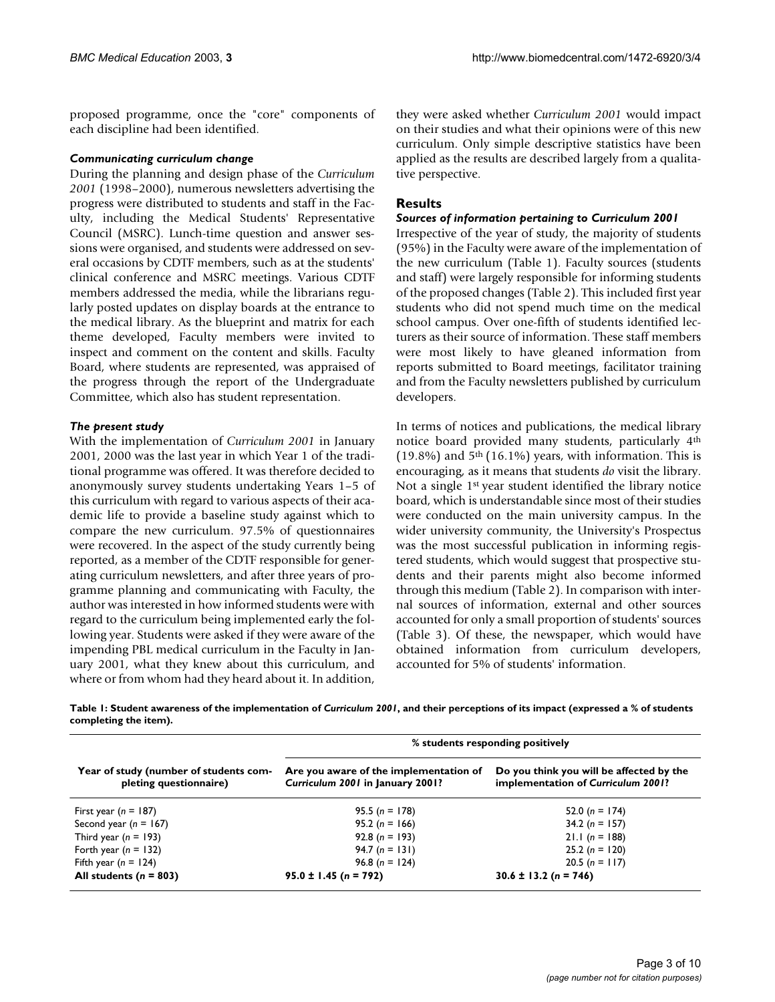proposed programme, once the "core" components of each discipline had been identified.

#### *Communicating curriculum change*

During the planning and design phase of the *Curriculum 2001* (1998–2000), numerous newsletters advertising the progress were distributed to students and staff in the Faculty, including the Medical Students' Representative Council (MSRC). Lunch-time question and answer sessions were organised, and students were addressed on several occasions by CDTF members, such as at the students' clinical conference and MSRC meetings. Various CDTF members addressed the media, while the librarians regularly posted updates on display boards at the entrance to the medical library. As the blueprint and matrix for each theme developed, Faculty members were invited to inspect and comment on the content and skills. Faculty Board, where students are represented, was appraised of the progress through the report of the Undergraduate Committee, which also has student representation.

# *The present study*

With the implementation of *Curriculum 2001* in January 2001, 2000 was the last year in which Year 1 of the traditional programme was offered. It was therefore decided to anonymously survey students undertaking Years 1–5 of this curriculum with regard to various aspects of their academic life to provide a baseline study against which to compare the new curriculum. 97.5% of questionnaires were recovered. In the aspect of the study currently being reported, as a member of the CDTF responsible for generating curriculum newsletters, and after three years of programme planning and communicating with Faculty, the author was interested in how informed students were with regard to the curriculum being implemented early the following year. Students were asked if they were aware of the impending PBL medical curriculum in the Faculty in January 2001, what they knew about this curriculum, and where or from whom had they heard about it. In addition, they were asked whether *Curriculum 2001* would impact on their studies and what their opinions were of this new curriculum. Only simple descriptive statistics have been applied as the results are described largely from a qualitative perspective.

# **Results**

### *Sources of information pertaining to Curriculum 2001*

Irrespective of the year of study, the majority of students (95%) in the Faculty were aware of the implementation of the new curriculum (Table [1\)](#page-2-0). Faculty sources (students and staff) were largely responsible for informing students of the proposed changes (Table [2\)](#page-3-0). This included first year students who did not spend much time on the medical school campus. Over one-fifth of students identified lecturers as their source of information. These staff members were most likely to have gleaned information from reports submitted to Board meetings, facilitator training and from the Faculty newsletters published by curriculum developers.

In terms of notices and publications, the medical library notice board provided many students, particularly 4th  $(19.8\%)$  and  $5<sup>th</sup>$  (16.1%) years, with information. This is encouraging, as it means that students *do* visit the library. Not a single 1st year student identified the library notice board, which is understandable since most of their studies were conducted on the main university campus. In the wider university community, the University's Prospectus was the most successful publication in informing registered students, which would suggest that prospective students and their parents might also become informed through this medium (Table [2\)](#page-3-0). In comparison with internal sources of information, external and other sources accounted for only a small proportion of students' sources (Table [3\)](#page-4-0). Of these, the newspaper, which would have obtained information from curriculum developers, accounted for 5% of students' information.

<span id="page-2-0"></span>**Table 1: Student awareness of the implementation of** *Curriculum 2001***, and their perceptions of its impact (expressed a % of students completing the item).**

|                                                                  | % students responding positively                                           |                                                                                |  |
|------------------------------------------------------------------|----------------------------------------------------------------------------|--------------------------------------------------------------------------------|--|
| Year of study (number of students com-<br>pleting questionnaire) | Are you aware of the implementation of<br>Curriculum 2001 in January 2001? | Do you think you will be affected by the<br>implementation of Curriculum 2001? |  |
| First year $(n = 187)$                                           | $95.5(n = 178)$                                                            | 52.0 ( $n = 174$ )                                                             |  |
| Second year $(n = 167)$                                          | $95.2(n = 166)$                                                            | $34.2 (n = 157)$                                                               |  |
| Third year $(n = 193)$                                           | $92.8(n = 193)$                                                            | 21.1 ( $n = 188$ )                                                             |  |
| Forth year $(n = 132)$                                           | $94.7 (n = 131)$                                                           | $25.2(n = 120)$                                                                |  |
| Fifth year $(n = 124)$                                           | $96.8(n = 124)$                                                            | $20.5(n = 117)$                                                                |  |
| All students $(n = 803)$                                         | $95.0 \pm 1.45$ (n = 792)                                                  | $30.6 \pm 13.2$ (n = 746)                                                      |  |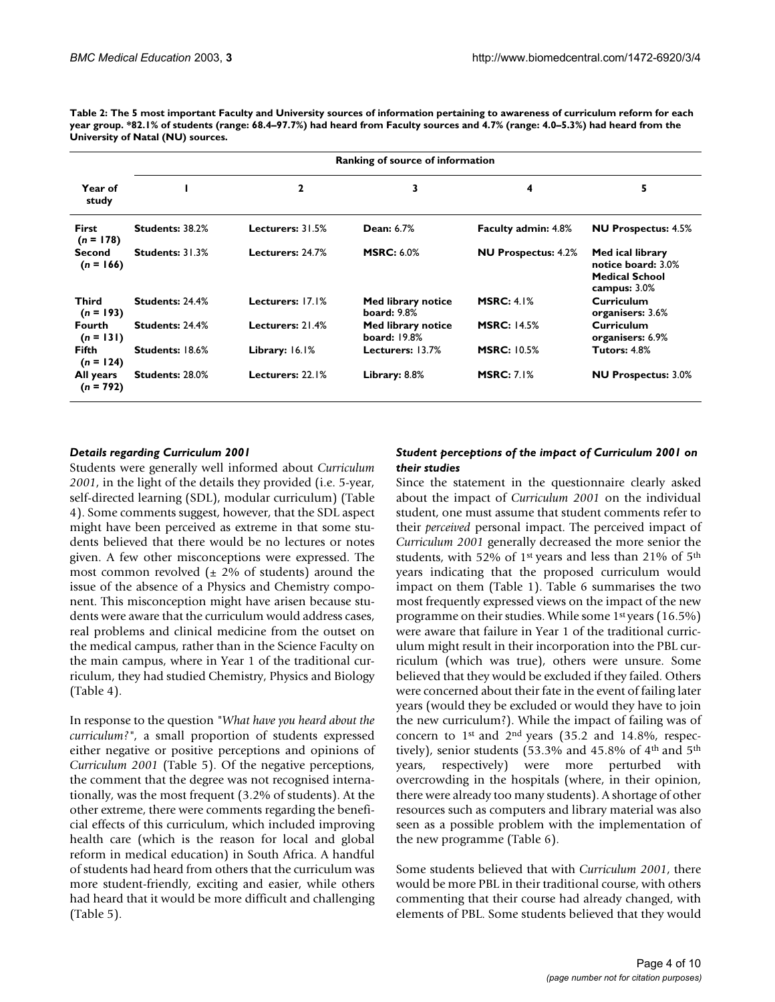|                              | Ranking of source of information |                  |                                      |                            |                                                                                    |
|------------------------------|----------------------------------|------------------|--------------------------------------|----------------------------|------------------------------------------------------------------------------------|
| Year of<br>study             |                                  | 2                | 3                                    | 4                          | 5                                                                                  |
| First<br>$(n = 178)$         | <b>Students: 38.2%</b>           | Lecturers: 31.5% | <b>Dean: 6.7%</b>                    | <b>Faculty admin: 4.8%</b> | <b>NU Prospectus: 4.5%</b>                                                         |
| <b>Second</b><br>$(n = 166)$ | <b>Students: 31.3%</b>           | Lecturers: 24.7% | <b>MSRC: 6.0%</b>                    | <b>NU Prospectus: 4.2%</b> | Med ical library<br>notice board: 3.0%<br><b>Medical School</b><br>campus: $3.0\%$ |
| <b>Third</b><br>$(n = 193)$  | Students: 24.4%                  | Lecturers: 17.1% | Med library notice<br>board: 9.8%    | MSRC: 4.1%                 | Curriculum<br>organisers: 3.6%                                                     |
| Fourth<br>$(n = 131)$        | Students: 24.4%                  | Lecturers: 21.4% | Med library notice<br>board: $19.8%$ | <b>MSRC: 14.5%</b>         | Curriculum<br>organisers: 6.9%                                                     |
| Fifth<br>$(n = 124)$         | <b>Students: 18.6%</b>           | Library: $16.1%$ | Lecturers: 13.7%                     | <b>MSRC: 10.5%</b>         | <b>Tutors: 4.8%</b>                                                                |
| All years<br>$(n = 792)$     | <b>Students: 28.0%</b>           | Lecturers: 22.1% | Library: 8.8%                        | <b>MSRC: 7.1%</b>          | <b>NU Prospectus: 3.0%</b>                                                         |

<span id="page-3-0"></span>**Table 2: The 5 most important Faculty and University sources of information pertaining to awareness of curriculum reform for each year group. \*82.1% of students (range: 68.4–97.7%) had heard from Faculty sources and 4.7% (range: 4.0–5.3%) had heard from the University of Natal (NU) sources.**

# *Details regarding Curriculum 2001*

Students were generally well informed about *Curriculum 2001*, in the light of the details they provided (i.e. 5-year, self-directed learning (SDL), modular curriculum) (Table [4\)](#page-4-1). Some comments suggest, however, that the SDL aspect might have been perceived as extreme in that some students believed that there would be no lectures or notes given. A few other misconceptions were expressed. The most common revolved ( $\pm$  2% of students) around the issue of the absence of a Physics and Chemistry component. This misconception might have arisen because students were aware that the curriculum would address cases, real problems and clinical medicine from the outset on the medical campus, rather than in the Science Faculty on the main campus, where in Year 1 of the traditional curriculum, they had studied Chemistry, Physics and Biology (Table [4\)](#page-4-1).

In response to the question *"What have you heard about the curriculum?"*, a small proportion of students expressed either negative or positive perceptions and opinions of *Curriculum 2001* (Table [5\)](#page-4-2). Of the negative perceptions, the comment that the degree was not recognised internationally, was the most frequent (3.2% of students). At the other extreme, there were comments regarding the beneficial effects of this curriculum, which included improving health care (which is the reason for local and global reform in medical education) in South Africa. A handful of students had heard from others that the curriculum was more student-friendly, exciting and easier, while others had heard that it would be more difficult and challenging (Table [5\)](#page-4-2).

# *Student perceptions of the impact of Curriculum 2001 on their studies*

Since the statement in the questionnaire clearly asked about the impact of *Curriculum 2001* on the individual student, one must assume that student comments refer to their *perceived* personal impact. The perceived impact of *Curriculum 2001* generally decreased the more senior the students, with 52% of 1<sup>st</sup> years and less than 21% of  $5<sup>th</sup>$ years indicating that the proposed curriculum would impact on them (Table [1](#page-2-0)). Table [6](#page-5-0) summarises the two most frequently expressed views on the impact of the new programme on their studies. While some 1st years (16.5%) were aware that failure in Year 1 of the traditional curriculum might result in their incorporation into the PBL curriculum (which was true), others were unsure. Some believed that they would be excluded if they failed. Others were concerned about their fate in the event of failing later years (would they be excluded or would they have to join the new curriculum?). While the impact of failing was of concern to 1st and 2nd years (35.2 and 14.8%, respectively), senior students (53.3% and 45.8% of 4<sup>th</sup> and 5<sup>th</sup> years, respectively) were more perturbed with overcrowding in the hospitals (where, in their opinion, there were already too many students). A shortage of other resources such as computers and library material was also seen as a possible problem with the implementation of the new programme (Table [6](#page-5-0)).

Some students believed that with *Curriculum 2001*, there would be more PBL in their traditional course, with others commenting that their course had already changed, with elements of PBL. Some students believed that they would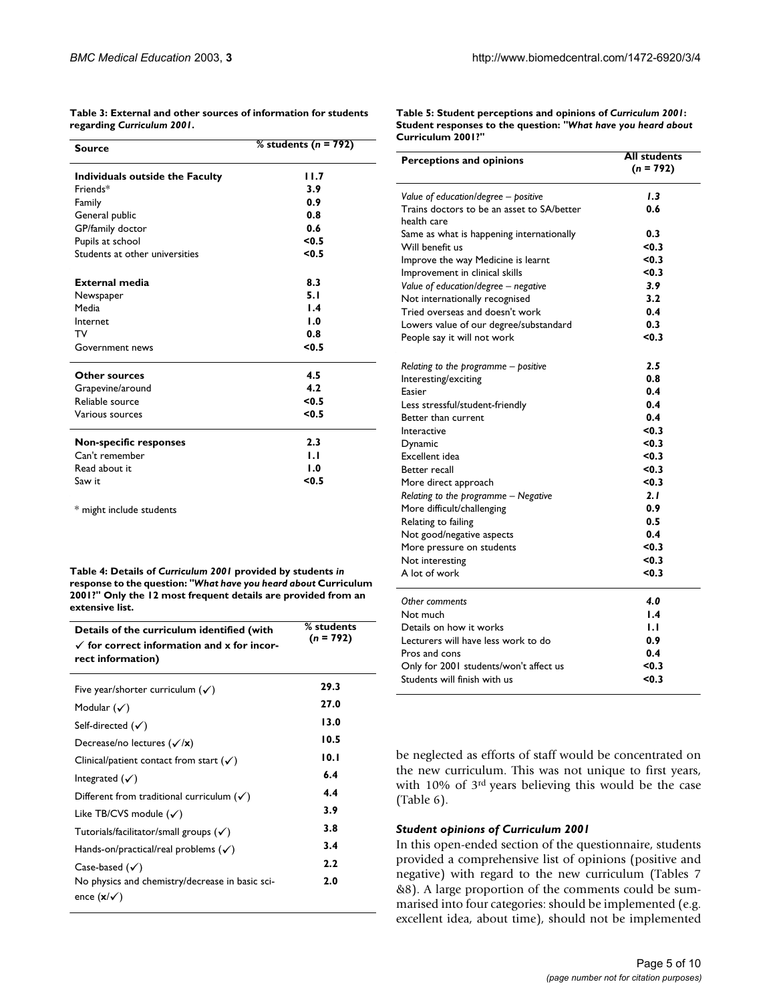<span id="page-4-0"></span>**Table 3: External and other sources of information for students regarding** *Curriculum 2001***.**

<span id="page-4-2"></span>**Table 5: Student perceptions and opinions of** *Curriculum 2001***: Student responses to the question:** *"What have you heard about*  **Curriculum 2001?"**

| Source                          | % students ( $n = 792$ ) |
|---------------------------------|--------------------------|
| Individuals outside the Faculty | 1 I .7                   |
| Friends*                        | 3.9                      |
| Family                          | 0.9                      |
| General public                  | 0.8                      |
| GP/family doctor                | 0.6                      |
| Pupils at school                | $0.5$                    |
| Students at other universities  | $0.5$                    |
| <b>External media</b>           | 8.3                      |
| Newspaper                       | 5.1                      |
| Media                           | 1.4                      |
| Internet                        | 1.0                      |
| т٧                              | 0.8                      |
| Government news                 | $0.5$                    |
| Other sources                   | 4.5                      |
| Grapevine/around                | 4.2                      |
| Reliable source                 | $0.5$                    |
| Various sources                 | <0.5                     |
| <b>Non-specific responses</b>   | 2.3                      |
| Can't remember                  | IJ                       |
| Read about it                   | 1.0                      |
| Saw it                          | <0.5                     |

\* might include students

<span id="page-4-1"></span>**Table 4: Details of** *Curriculum 2001* **provided by students** *in*  **response to the question:** *"What have you heard about* **Curriculum 2001?" Only the 12 most frequent details are provided from an extensive list.**

| Details of the curriculum identified (with<br>$\checkmark$ for correct information and x for incor-<br>rect information) | % students<br>$(n = 792)$ |
|--------------------------------------------------------------------------------------------------------------------------|---------------------------|
| Five year/shorter curriculum $(\checkmark)$                                                                              | 29.3                      |
| Modular $(\checkmark)$                                                                                                   | 27.0                      |
| Self-directed $(\checkmark)$                                                                                             | 13.0                      |
| Decrease/no lectures $(\sqrt{x})$                                                                                        | 10.5                      |
| Clinical/patient contact from start $(\checkmark)$                                                                       | 10.1                      |
| Integrated $(\checkmark)$                                                                                                | 6.4                       |
| Different from traditional curriculum $(\checkmark)$                                                                     | 4.4                       |
| Like TB/CVS module $(\checkmark)$                                                                                        | 3.9                       |
| Tutorials/facilitator/small groups $(\checkmark)$                                                                        | 3.8                       |
| Hands-on/practical/real problems $(\checkmark)$                                                                          | 3.4                       |
| Case-based $(\checkmark)$                                                                                                | 2.2                       |
| No physics and chemistry/decrease in basic sci-<br>ence $(x/\sqrt{)}$                                                    | 2.0                       |

| <b>Perceptions and opinions</b>                           | <b>All students</b><br>$(n = 792)$ |
|-----------------------------------------------------------|------------------------------------|
| Value of education/degree – positive                      | 1.3                                |
| Trains doctors to be an asset to SA/better<br>health care | 0.6                                |
| Same as what is happening internationally                 | 0.3                                |
| Will benefit us                                           | < 0.3                              |
| Improve the way Medicine is learnt                        | $0.3$                              |
| Improvement in clinical skills                            | $0.3$                              |
| Value of education/degree - negative                      | 3.9                                |
| Not internationally recognised                            | 3.2                                |
| Tried overseas and doesn't work                           | 0.4                                |
| Lowers value of our degree/substandard                    | 0.3                                |
| People say it will not work                               | $0.3$                              |
| Relating to the programme – positive                      | 2.5                                |
| Interesting/exciting                                      | 0.8                                |
| Easier                                                    | 0.4                                |
| Less stressful/student-friendly                           | 0.4                                |
| Better than current                                       | 0.4                                |
| Interactive                                               | $0.3$                              |
| Dynamic                                                   | $0.3$                              |
| Excellent idea                                            | $0.3$                              |
| Better recall                                             | $0.3$                              |
| More direct approach                                      | $0.3$                              |
| Relating to the programme - Negative                      | 2.1                                |
| More difficult/challenging                                | 0.9                                |
| Relating to failing                                       | 0.5                                |
| Not good/negative aspects                                 | 0.4                                |
| More pressure on students                                 | < 0.3                              |
| Not interesting                                           | $0.3$                              |
| A lot of work                                             | $0.3$                              |
| Other comments                                            | 4.0                                |
| Not much                                                  | 1.4                                |
| Details on how it works                                   | IJ                                 |
| Lecturers will have less work to do                       | 0.9                                |
| Pros and cons                                             | 0.4                                |
| Only for 2001 students/won't affect us                    | $0.3$                              |
| Students will finish with us                              | $0.3$                              |

be neglected as efforts of staff would be concentrated on the new curriculum. This was not unique to first years, with 10% of 3rd years believing this would be the case (Table [6\)](#page-5-0).

#### *Student opinions of Curriculum 2001*

In this open-ended section of the questionnaire, students provided a comprehensive list of opinions (positive and negative) with regard to the new curriculum (Tables [7](#page-6-0) &[8](#page-6-1)). A large proportion of the comments could be summarised into four categories: should be implemented (e.g. excellent idea, about time), should not be implemented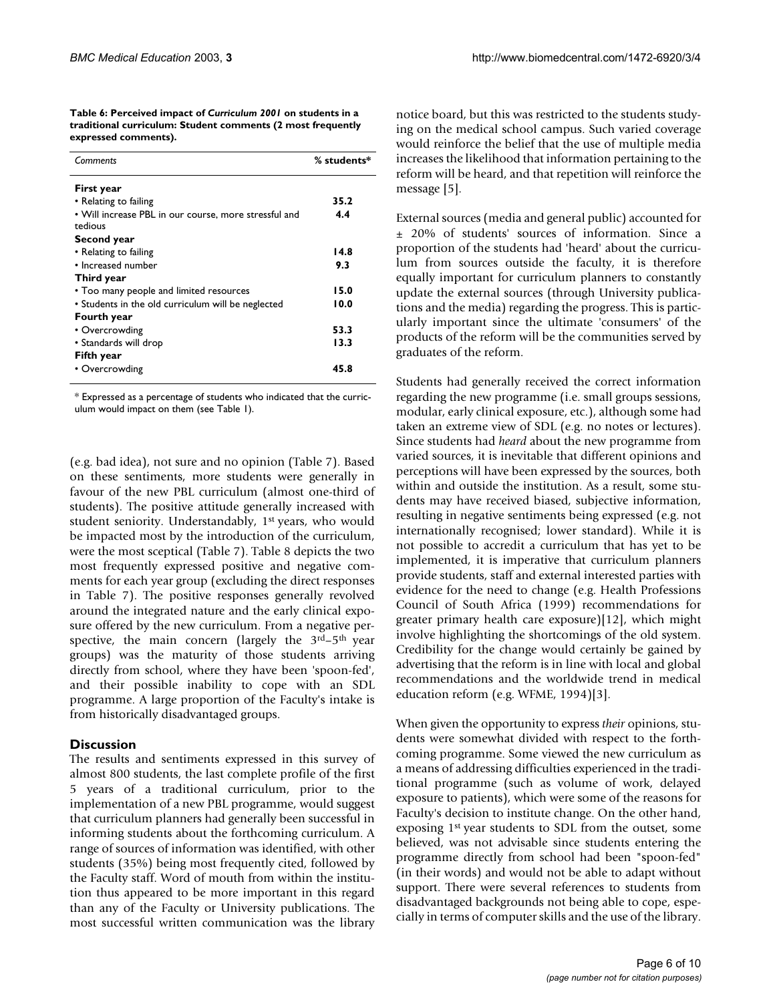<span id="page-5-0"></span>**Table 6: Perceived impact of** *Curriculum 2001* **on students in a traditional curriculum: Student comments (2 most frequently expressed comments).**

| Comments                                              | $%$ students* |
|-------------------------------------------------------|---------------|
| First year                                            |               |
| • Relating to failing                                 | 35.2          |
| • Will increase PBL in our course, more stressful and | 4.4           |
| tedious                                               |               |
| Second year                                           |               |
| • Relating to failing                                 | 14.8          |
| • Increased number                                    | 9.3           |
| Third year                                            |               |
| • Too many people and limited resources               | 15.0          |
| • Students in the old curriculum will be neglected    | 10.0          |
| Fourth year                                           |               |
| • Overcrowding                                        | 53.3          |
| • Standards will drop                                 | 13.3          |
| Fifth year                                            |               |
| • Overcrowding                                        | 45.8          |

\* Expressed as a percentage of students who indicated that the curriculum would impact on them (see Table [1](#page-2-0)).

(e.g. bad idea), not sure and no opinion (Table [7\)](#page-6-0). Based on these sentiments, more students were generally in favour of the new PBL curriculum (almost one-third of students). The positive attitude generally increased with student seniority. Understandably, 1st years, who would be impacted most by the introduction of the curriculum, were the most sceptical (Table [7\)](#page-6-0). Table [8](#page-6-1) depicts the two most frequently expressed positive and negative comments for each year group (excluding the direct responses in Table [7\)](#page-6-0). The positive responses generally revolved around the integrated nature and the early clinical exposure offered by the new curriculum. From a negative perspective, the main concern (largely the  $3<sup>rd</sup> - 5<sup>th</sup>$  year groups) was the maturity of those students arriving directly from school, where they have been 'spoon-fed', and their possible inability to cope with an SDL programme. A large proportion of the Faculty's intake is from historically disadvantaged groups.

# **Discussion**

The results and sentiments expressed in this survey of almost 800 students, the last complete profile of the first 5 years of a traditional curriculum, prior to the implementation of a new PBL programme, would suggest that curriculum planners had generally been successful in informing students about the forthcoming curriculum. A range of sources of information was identified, with other students (35%) being most frequently cited, followed by the Faculty staff. Word of mouth from within the institution thus appeared to be more important in this regard than any of the Faculty or University publications. The most successful written communication was the library notice board, but this was restricted to the students studying on the medical school campus. Such varied coverage would reinforce the belief that the use of multiple media increases the likelihood that information pertaining to the reform will be heard, and that repetition will reinforce the message [5].

External sources (media and general public) accounted for ± 20% of students' sources of information. Since a proportion of the students had 'heard' about the curriculum from sources outside the faculty, it is therefore equally important for curriculum planners to constantly update the external sources (through University publications and the media) regarding the progress. This is particularly important since the ultimate 'consumers' of the products of the reform will be the communities served by graduates of the reform.

Students had generally received the correct information regarding the new programme (i.e. small groups sessions, modular, early clinical exposure, etc.), although some had taken an extreme view of SDL (e.g. no notes or lectures). Since students had *heard* about the new programme from varied sources, it is inevitable that different opinions and perceptions will have been expressed by the sources, both within and outside the institution. As a result, some students may have received biased, subjective information, resulting in negative sentiments being expressed (e.g. not internationally recognised; lower standard). While it is not possible to accredit a curriculum that has yet to be implemented, it is imperative that curriculum planners provide students, staff and external interested parties with evidence for the need to change (e.g. Health Professions Council of South Africa (1999) recommendations for greater primary health care exposure)[12], which might involve highlighting the shortcomings of the old system. Credibility for the change would certainly be gained by advertising that the reform is in line with local and global recommendations and the worldwide trend in medical education reform (e.g. WFME, 1994)[3].

When given the opportunity to express *their* opinions, students were somewhat divided with respect to the forthcoming programme. Some viewed the new curriculum as a means of addressing difficulties experienced in the traditional programme (such as volume of work, delayed exposure to patients), which were some of the reasons for Faculty's decision to institute change. On the other hand, exposing 1st year students to SDL from the outset, some believed, was not advisable since students entering the programme directly from school had been "spoon-fed" (in their words) and would not be able to adapt without support. There were several references to students from disadvantaged backgrounds not being able to cope, especially in terms of computer skills and the use of the library.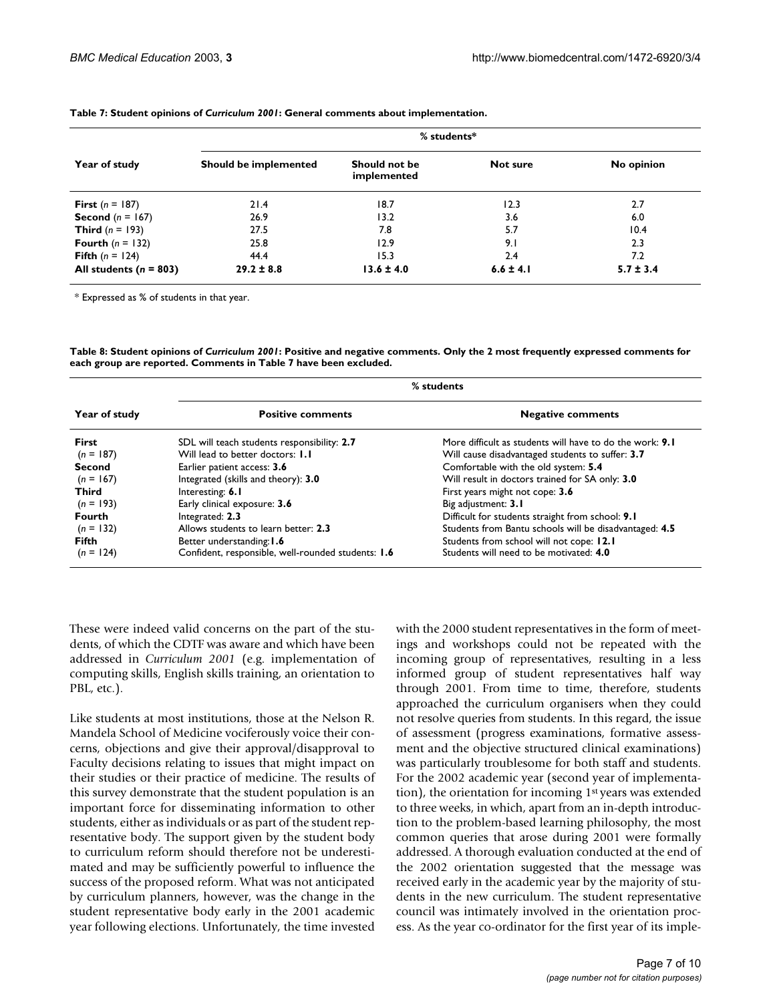|                             | % students*           |                              |                 |               |
|-----------------------------|-----------------------|------------------------------|-----------------|---------------|
| Year of study               | Should be implemented | Should not be<br>implemented | <b>Not sure</b> | No opinion    |
| <b>First</b> $(n = 187)$    | 21.4                  | 18.7                         | 12.3            | 2.7           |
| <b>Second</b> ( $n = 167$ ) | 26.9                  | 13.2                         | 3.6             | 6.0           |
| <b>Third</b> $(n = 193)$    | 27.5                  | 7.8                          | 5.7             | 10.4          |
| Fourth $(n = 132)$          | 25.8                  | 12.9                         | 9.1             | 2.3           |
| <b>Fifth</b> $(n = 124)$    | 44.4                  | 15.3                         | 2.4             | 7.2           |
| All students ( $n = 803$ )  | $29.2 \pm 8.8$        | $13.6 \pm 4.0$               | $6.6 \pm 4.1$   | $5.7 \pm 3.4$ |

<span id="page-6-0"></span>**Table 7: Student opinions of** *Curriculum 2001***: General comments about implementation.**

\* Expressed as % of students in that year.

<span id="page-6-1"></span>**Table 8: Student opinions of** *Curriculum 2001***: Positive and negative comments. Only the 2 most frequently expressed comments for each group are reported. Comments in Table [7](#page-6-0) have been excluded.**

|               | % students                                         |                                                          |  |
|---------------|----------------------------------------------------|----------------------------------------------------------|--|
| Year of study | <b>Positive comments</b>                           | <b>Negative comments</b>                                 |  |
| <b>First</b>  | SDL will teach students responsibility: 2.7        | More difficult as students will have to do the work: 9.1 |  |
| $(n = 187)$   | Will lead to better doctors: 1.1                   | Will cause disadvantaged students to suffer: 3.7         |  |
| Second        | Earlier patient access: 3.6                        | Comfortable with the old system: 5.4                     |  |
| $(n = 167)$   | Integrated (skills and theory): 3.0                | Will result in doctors trained for SA only: 3.0          |  |
| Third         | Interesting: 6.1                                   | First years might not cope: 3.6                          |  |
| $(n = 193)$   | Early clinical exposure: 3.6                       | Big adjustment: 3.1                                      |  |
| Fourth        | Integrated: 2.3                                    | Difficult for students straight from school: 9.1         |  |
| $(n = 132)$   | Allows students to learn better: 2.3               | Students from Bantu schools will be disadvantaged: 4.5   |  |
| Fifth         | <b>Better understanding: 1.6</b>                   | Students from school will not cope: 12.1                 |  |
| $(n = 124)$   | Confident, responsible, well-rounded students: 1.6 | Students will need to be motivated: 4.0                  |  |

These were indeed valid concerns on the part of the students, of which the CDTF was aware and which have been addressed in *Curriculum 2001* (e.g. implementation of computing skills, English skills training, an orientation to PBL, etc.).

Like students at most institutions, those at the Nelson R. Mandela School of Medicine vociferously voice their concerns, objections and give their approval/disapproval to Faculty decisions relating to issues that might impact on their studies or their practice of medicine. The results of this survey demonstrate that the student population is an important force for disseminating information to other students, either as individuals or as part of the student representative body. The support given by the student body to curriculum reform should therefore not be underestimated and may be sufficiently powerful to influence the success of the proposed reform. What was not anticipated by curriculum planners, however, was the change in the student representative body early in the 2001 academic year following elections. Unfortunately, the time invested

with the 2000 student representatives in the form of meetings and workshops could not be repeated with the incoming group of representatives, resulting in a less informed group of student representatives half way through 2001. From time to time, therefore, students approached the curriculum organisers when they could not resolve queries from students. In this regard, the issue of assessment (progress examinations, formative assessment and the objective structured clinical examinations) was particularly troublesome for both staff and students. For the 2002 academic year (second year of implementation), the orientation for incoming 1st years was extended to three weeks, in which, apart from an in-depth introduction to the problem-based learning philosophy, the most common queries that arose during 2001 were formally addressed. A thorough evaluation conducted at the end of the 2002 orientation suggested that the message was received early in the academic year by the majority of students in the new curriculum. The student representative council was intimately involved in the orientation process. As the year co-ordinator for the first year of its imple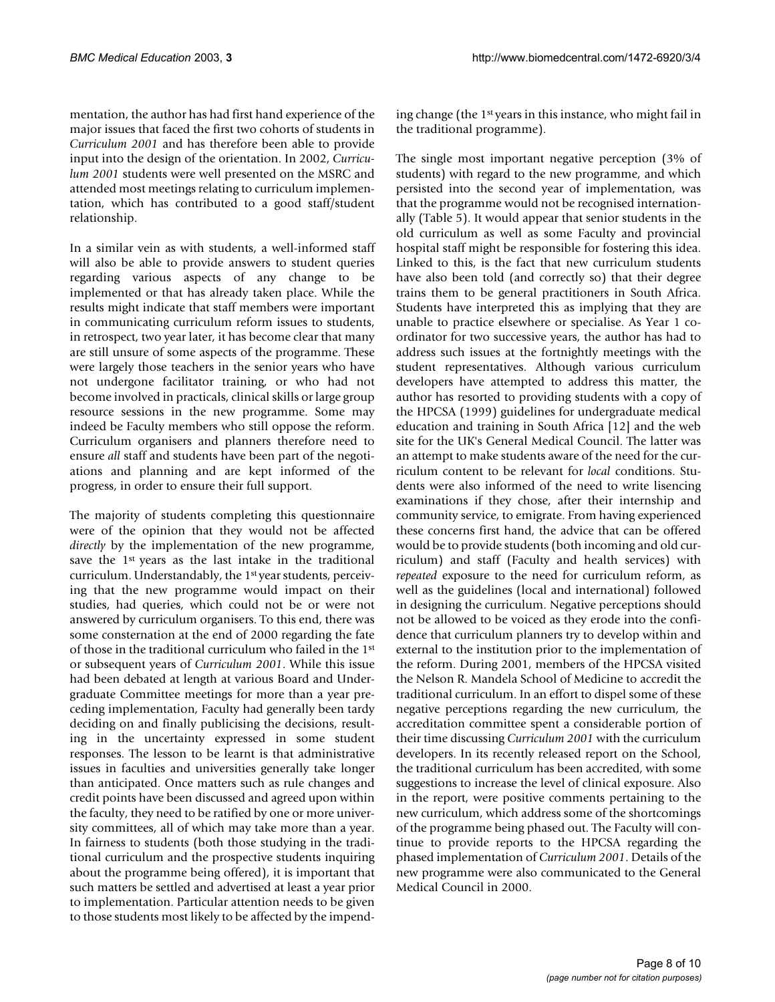mentation, the author has had first hand experience of the major issues that faced the first two cohorts of students in *Curriculum 2001* and has therefore been able to provide input into the design of the orientation. In 2002, *Curriculum 2001* students were well presented on the MSRC and attended most meetings relating to curriculum implementation, which has contributed to a good staff/student relationship.

In a similar vein as with students, a well-informed staff will also be able to provide answers to student queries regarding various aspects of any change to be implemented or that has already taken place. While the results might indicate that staff members were important in communicating curriculum reform issues to students, in retrospect, two year later, it has become clear that many are still unsure of some aspects of the programme. These were largely those teachers in the senior years who have not undergone facilitator training, or who had not become involved in practicals, clinical skills or large group resource sessions in the new programme. Some may indeed be Faculty members who still oppose the reform. Curriculum organisers and planners therefore need to ensure *all* staff and students have been part of the negotiations and planning and are kept informed of the progress, in order to ensure their full support.

The majority of students completing this questionnaire were of the opinion that they would not be affected *directly* by the implementation of the new programme, save the 1st years as the last intake in the traditional curriculum. Understandably, the 1<sup>st</sup> year students, perceiving that the new programme would impact on their studies, had queries, which could not be or were not answered by curriculum organisers. To this end, there was some consternation at the end of 2000 regarding the fate of those in the traditional curriculum who failed in the 1st or subsequent years of *Curriculum 2001*. While this issue had been debated at length at various Board and Undergraduate Committee meetings for more than a year preceding implementation, Faculty had generally been tardy deciding on and finally publicising the decisions, resulting in the uncertainty expressed in some student responses. The lesson to be learnt is that administrative issues in faculties and universities generally take longer than anticipated. Once matters such as rule changes and credit points have been discussed and agreed upon within the faculty, they need to be ratified by one or more university committees, all of which may take more than a year. In fairness to students (both those studying in the traditional curriculum and the prospective students inquiring about the programme being offered), it is important that such matters be settled and advertised at least a year prior to implementation. Particular attention needs to be given to those students most likely to be affected by the impending change (the 1st years in this instance, who might fail in the traditional programme).

The single most important negative perception (3% of students) with regard to the new programme, and which persisted into the second year of implementation, was that the programme would not be recognised internationally (Table [5\)](#page-4-2). It would appear that senior students in the old curriculum as well as some Faculty and provincial hospital staff might be responsible for fostering this idea. Linked to this, is the fact that new curriculum students have also been told (and correctly so) that their degree trains them to be general practitioners in South Africa. Students have interpreted this as implying that they are unable to practice elsewhere or specialise. As Year 1 coordinator for two successive years, the author has had to address such issues at the fortnightly meetings with the student representatives. Although various curriculum developers have attempted to address this matter, the author has resorted to providing students with a copy of the HPCSA (1999) guidelines for undergraduate medical education and training in South Africa [12] and the web site for the UK's General Medical Council. The latter was an attempt to make students aware of the need for the curriculum content to be relevant for *local* conditions. Students were also informed of the need to write lisencing examinations if they chose, after their internship and community service, to emigrate. From having experienced these concerns first hand, the advice that can be offered would be to provide students (both incoming and old curriculum) and staff (Faculty and health services) with *repeated* exposure to the need for curriculum reform, as well as the guidelines (local and international) followed in designing the curriculum. Negative perceptions should not be allowed to be voiced as they erode into the confidence that curriculum planners try to develop within and external to the institution prior to the implementation of the reform. During 2001, members of the HPCSA visited the Nelson R. Mandela School of Medicine to accredit the traditional curriculum. In an effort to dispel some of these negative perceptions regarding the new curriculum, the accreditation committee spent a considerable portion of their time discussing *Curriculum 2001* with the curriculum developers. In its recently released report on the School, the traditional curriculum has been accredited, with some suggestions to increase the level of clinical exposure. Also in the report, were positive comments pertaining to the new curriculum, which address some of the shortcomings of the programme being phased out. The Faculty will continue to provide reports to the HPCSA regarding the phased implementation of *Curriculum 2001*. Details of the new programme were also communicated to the General Medical Council in 2000.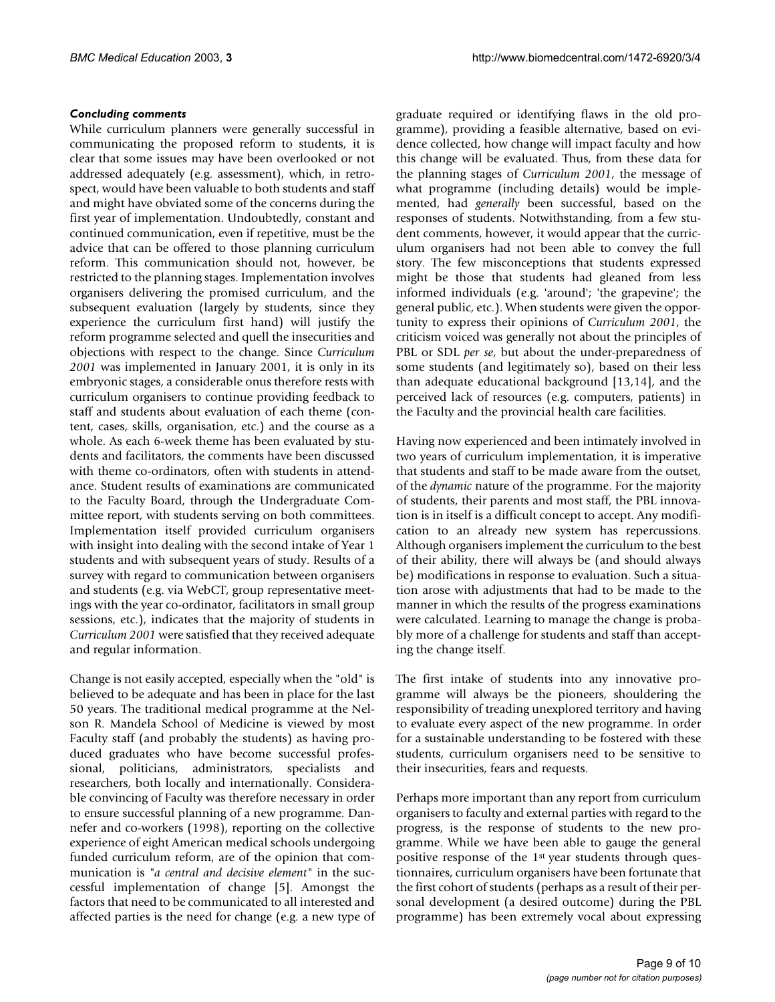### *Concluding comments*

While curriculum planners were generally successful in communicating the proposed reform to students, it is clear that some issues may have been overlooked or not addressed adequately (e.g. assessment), which, in retrospect, would have been valuable to both students and staff and might have obviated some of the concerns during the first year of implementation. Undoubtedly, constant and continued communication, even if repetitive, must be the advice that can be offered to those planning curriculum reform. This communication should not, however, be restricted to the planning stages. Implementation involves organisers delivering the promised curriculum, and the subsequent evaluation (largely by students, since they experience the curriculum first hand) will justify the reform programme selected and quell the insecurities and objections with respect to the change. Since *Curriculum 2001* was implemented in January 2001, it is only in its embryonic stages, a considerable onus therefore rests with curriculum organisers to continue providing feedback to staff and students about evaluation of each theme (content, cases, skills, organisation, etc.) and the course as a whole. As each 6-week theme has been evaluated by students and facilitators, the comments have been discussed with theme co-ordinators, often with students in attendance. Student results of examinations are communicated to the Faculty Board, through the Undergraduate Committee report, with students serving on both committees. Implementation itself provided curriculum organisers with insight into dealing with the second intake of Year 1 students and with subsequent years of study. Results of a survey with regard to communication between organisers and students (e.g. via WebCT, group representative meetings with the year co-ordinator, facilitators in small group sessions, etc.), indicates that the majority of students in *Curriculum 2001* were satisfied that they received adequate and regular information.

Change is not easily accepted, especially when the "old" is believed to be adequate and has been in place for the last 50 years. The traditional medical programme at the Nelson R. Mandela School of Medicine is viewed by most Faculty staff (and probably the students) as having produced graduates who have become successful professional, politicians, administrators, specialists and researchers, both locally and internationally. Considerable convincing of Faculty was therefore necessary in order to ensure successful planning of a new programme. Dannefer and co-workers (1998), reporting on the collective experience of eight American medical schools undergoing funded curriculum reform, are of the opinion that communication is *"a central and decisive element"* in the successful implementation of change [5]. Amongst the factors that need to be communicated to all interested and affected parties is the need for change (e.g. a new type of graduate required or identifying flaws in the old programme), providing a feasible alternative, based on evidence collected, how change will impact faculty and how this change will be evaluated. Thus, from these data for the planning stages of *Curriculum 2001*, the message of what programme (including details) would be implemented, had *generally* been successful, based on the responses of students. Notwithstanding, from a few student comments, however, it would appear that the curriculum organisers had not been able to convey the full story. The few misconceptions that students expressed might be those that students had gleaned from less informed individuals (e.g. 'around'; 'the grapevine'; the general public, etc.). When students were given the opportunity to express their opinions of *Curriculum 2001*, the criticism voiced was generally not about the principles of PBL or SDL *per se*, but about the under-preparedness of some students (and legitimately so), based on their less than adequate educational background [13,14], and the perceived lack of resources (e.g. computers, patients) in the Faculty and the provincial health care facilities.

Having now experienced and been intimately involved in two years of curriculum implementation, it is imperative that students and staff to be made aware from the outset, of the *dynamic* nature of the programme. For the majority of students, their parents and most staff, the PBL innovation is in itself is a difficult concept to accept. Any modification to an already new system has repercussions. Although organisers implement the curriculum to the best of their ability, there will always be (and should always be) modifications in response to evaluation. Such a situation arose with adjustments that had to be made to the manner in which the results of the progress examinations were calculated. Learning to manage the change is probably more of a challenge for students and staff than accepting the change itself.

The first intake of students into any innovative programme will always be the pioneers, shouldering the responsibility of treading unexplored territory and having to evaluate every aspect of the new programme. In order for a sustainable understanding to be fostered with these students, curriculum organisers need to be sensitive to their insecurities, fears and requests.

Perhaps more important than any report from curriculum organisers to faculty and external parties with regard to the progress, is the response of students to the new programme. While we have been able to gauge the general positive response of the 1st year students through questionnaires, curriculum organisers have been fortunate that the first cohort of students (perhaps as a result of their personal development (a desired outcome) during the PBL programme) has been extremely vocal about expressing